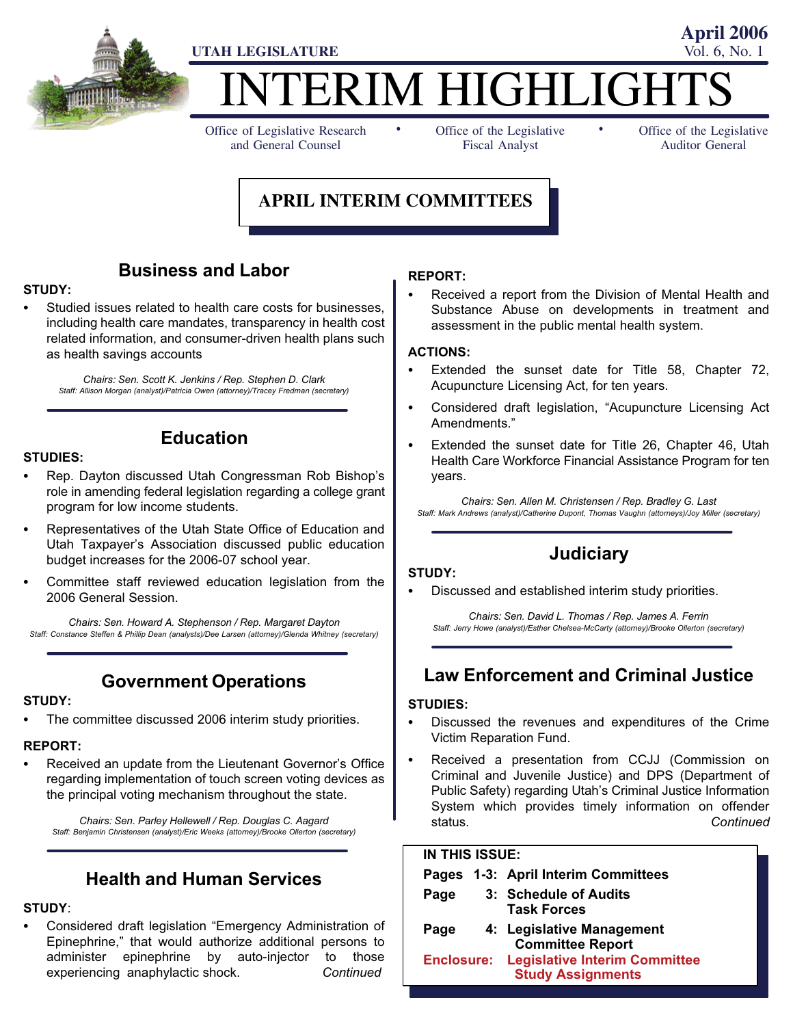

# TERIM HIGHLIGH

Office of Legislative Research and General Counsel

Office of the Legislative Fiscal Analyst

Office of the Legislative Auditor General

**April 2006**

### **APRIL INTERIM COMMITTEES**

-

### Business and Labor

### STUDY: -

 Studied issues related to health care costs for businesses, including health care mandates, transparency in health cost related information, and consumer−driven health plans such as health savings accounts

Chairs: Sen. Scott K. Jenkins / Rep. Stephen D. Clark Staff: Allison Morgan (analyst)/Patricia Owen (attorney)/Tracey Fredman (secretary)

Education

## STUDIES: -

- Rep. Dayton discussed Utah Congressman Rob Bishop's role in amending federal legislation regarding a college grant program for low income students.
- Representatives of the Utah State Office of Education and Utah Taxpayer's Association discussed public education budget increases for the 2006−07 school year.
- Committee staff reviewed education legislation from the 2006 General Session.

Chairs: Sen. Howard A. Stephenson / Rep. Margaret Dayton Staff: Constance Steffen & Phillip Dean (analysts)/Dee Larsen (attorney)/Glenda Whitney (secretary)

Government Operations

### STUDY: -

The committee discussed 2006 interim study priorities.

### REPORT:<br>-

 Received an update from the Lieutenant Governor's Office regarding implementation of touch screen voting devices as the principal voting mechanism throughout the state.

Chairs: Sen. Parley Hellewell / Rep. Douglas C. Aagard Staff: Benjamin Christensen (analyst)/Eric Weeks (attorney)/Brooke Ollerton (secretary)

### Health and Human Services

### STUDY:

• Considered draft legislation "Emergency Administration of Epinephrine," that would authorize additional persons to administer epinephrine by auto−injector to those experiencing anaphylactic shock. Continued

### REPORT: -

 Received a report from the Division of Mental Health and Substance Abuse on developments in treatment and assessment in the public mental health system.

-

### ACTIONS: -

- Extended the sunset date for Title 58, Chapter 72, Acupuncture Licensing Act, for ten years.
- Considered draft legislation, "Acupuncture Licensing Act Amendments."
- Extended the sunset date for Title 26, Chapter 46, Utah Health Care Workforce Financial Assistance Program for ten years.

Chairs: Sen. Allen M. Christensen / Rep. Bradley G. Last Staff: Mark Andrews (analyst)/Catherine Dupont, Thomas Vaughn (attorneys)/Joy Miller (secretary)

### **Judiciary**

### STUDY:<br>--

Discussed and established interim study priorities.

Chairs: Sen. David L. Thomas / Rep. James A. Ferrin Staff: Jerry Howe (analyst)/Esther Chelsea−McCarty (attorney)/Brooke Ollerton (secretary)

### Law Enforcement and Criminal Justice

### STUDIES:<br>--

- Discussed the revenues and expenditures of the Crime Victim Reparation Fund.
- Received a presentation from CCJJ (Commission on Criminal and Juvenile Justice) and DPS (Department of Public Safety) regarding Utah's Criminal Justice Information System which provides timely information on offender status. **Continued**

#### IN THIS ISSUE:

|      |  | Pages 1-3: April Interim Committees                                         |
|------|--|-----------------------------------------------------------------------------|
| Page |  | 3: Schedule of Audits<br><b>Task Forces</b>                                 |
| Page |  | 4: Legislative Management<br><b>Committee Report</b>                        |
|      |  | <b>Enclosure: Legislative Interim Committee</b><br><b>Study Assignments</b> |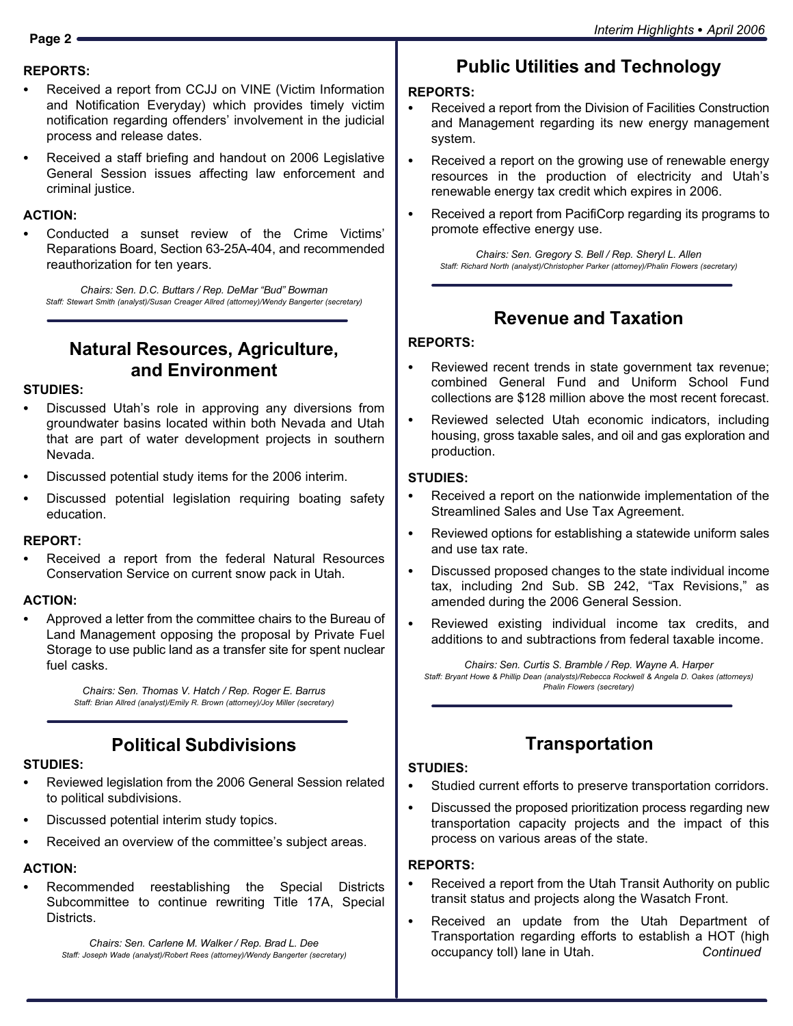### REPORTS:<br>—

- Received a report from CCJJ on VINE (Victim Information and Notification Everyday) which provides timely victim notification regarding offenders' involvement in the judicial process and release dates.
- Received a staff briefing and handout on 2006 Legislative General Session issues affecting law enforcement and criminal justice.

### ACTION: -

 Conducted a sunset review of the Crime Victims' Reparations Board, Section 63−25A−404, and recommended reauthorization for ten years.

Chairs: Sen. D.C. Buttars / Rep. DeMar "Bud" Bowman Staff: Stewart Smith (analyst)/Susan Creager Allred (attorney)/Wendy Bangerter (secretary)

### Natural Resources, Agriculture, and Environment

### STUDIES: -

- Discussed Utah's role in approving any diversions from groundwater basins located within both Nevada and Utah that are part of water development projects in southern Nevada.
- Discussed potential study items for the 2006 interim.
- Discussed potential legislation requiring boating safety education.

### REPORT: -

 Received a report from the federal Natural Resources Conservation Service on current snow pack in Utah.

### ACTION: -

 Approved a letter from the committee chairs to the Bureau of Land Management opposing the proposal by Private Fuel Storage to use public land as a transfer site for spent nuclear fuel casks.

> Chairs: Sen. Thomas V. Hatch / Rep. Roger E. Barrus Staff: Brian Allred (analyst)/Emily R. Brown (attorney)/Joy Miller (secretary)

### Political Subdivisions

### STUDIES: -

- Reviewed legislation from the 2006 General Session related to political subdivisions.
- Discussed potential interim study topics.
- Received an overview of the committee's subject areas.

### ACTION: -

 Recommended reestablishing the Special Districts Subcommittee to continue rewriting Title 17A, Special Districts.

Chairs: Sen. Carlene M. Walker / Rep. Brad L. Dee Staff: Joseph Wade (analyst)/Robert Rees (attorney)/Wendy Bangerter (secretary)

### Public Utilities and Technology

#### REPORTS:

- Received a report from the Division of Facilities Construction and Management regarding its new energy management system.
- Received a report on the growing use of renewable energy resources in the production of electricity and Utah's renewable energy tax credit which expires in 2006.
- $\bullet$  Received a report from PacifiCorp regarding its programs to promote effective energy use.

Chairs: Sen. Gregory S. Bell / Rep. Sheryl L. Allen Staff: Richard North (analyst)/Christopher Parker (attorney)/Phalin Flowers (secretary)

### Revenue and Taxation

#### REPORTS:

- Reviewed recent trends in state government tax revenue; combined General Fund and Uniform School Fund collections are \$128 million above the most recent forecast.
- Reviewed selected Utah economic indicators, including housing, gross taxable sales, and oil and gas exploration and production.

### STUDIES: -

- Received a report on the nationwide implementation of the Streamlined Sales and Use Tax Agreement.
- Reviewed options for establishing a statewide uniform sales and use tax rate.
- Discussed proposed changes to the state individual income tax, including 2nd Sub. SB 242, "Tax Revisions," as amended during the 2006 General Session.
- Reviewed existing individual income tax credits, and additions to and subtractions from federal taxable income.

Chairs: Sen. Curtis S. Bramble / Rep. Wayne A. Harper Staff: Bryant Howe & Phillip Dean (analysts)/Rebecca Rockwell & Angela D. Oakes (attorneys) Phalin Flowers (secretary)

### **Transportation**

### STUDIES: -

- Studied current efforts to preserve transportation corridors.
- Discussed the proposed prioritization process regarding new transportation capacity projects and the impact of this process on various areas of the state.

### REPORTS: -

- Received a report from the Utah Transit Authority on public transit status and projects along the Wasatch Front.
- Received an update from the Utah Department of Transportation regarding efforts to establish a HOT (high occupancy toll) lane in Utah. Continued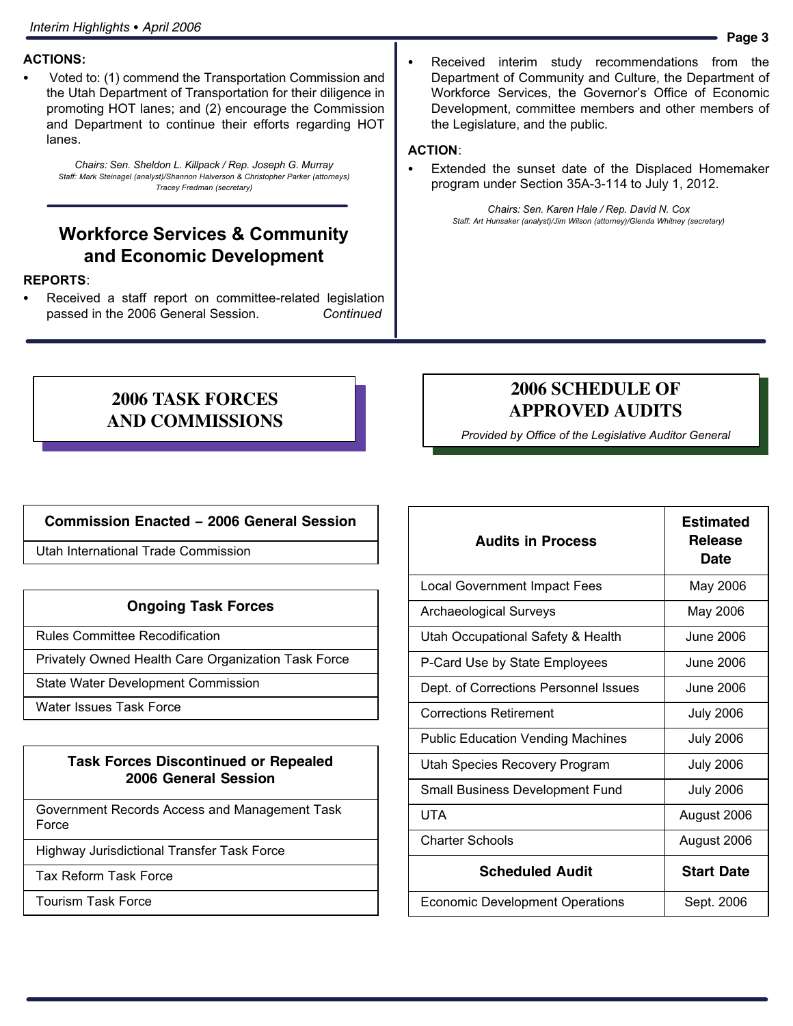### ACTIONS: -

 Voted to: (1) commend the Transportation Commission and the Utah Department of Transportation for their diligence in promoting HOT lanes; and (2) encourage the Commission and Department to continue their efforts regarding HOT lanes.

Chairs: Sen. Sheldon L. Killpack / Rep. Joseph G. Murray Staff: Mark Steinagel (analyst)/Shannon Halverson & Christopher Parker (attorneys) Tracey Fredman (secretary)

### Workforce Services & Community and Economic Development

### REPORTS:<br>—

 Received a staff report on committee−related legislation passed in the 2006 General Session. Continued

 Received interim study recommendations from the Department of Community and Culture, the Department of Workforce Services, the Governor's Office of Economic Development, committee members and other members of the Legislature, and the public.

### ACTION: -

 Extended the sunset date of the Displaced Homemaker program under Section 35A−3−114 to July 1, 2012.

Chairs: Sen. Karen Hale / Rep. David N. Cox Staff: Art Hunsaker (analyst)/Jim Wilson (attorney)/Glenda Whitney (secretary)

#### **2006 TASK FORCES AND COMMISSIONS**

### **2006 SCHEDULE OF APPROVED AUDITS**

Provided by Office of the Legislative Auditor General

#### **Commission Enacted − 2006 General Session**

Utah International Trade Commission

#### **Ongoing Task Forces**

Rules Committee Recodification

Privately Owned Health Care Organization Task Force

State Water Development Commission

Water Issues Task Force

#### **Task Forces Discontinued or Repealed 2006 General Session**

Government Records Access and Management Task Force

Highway Jurisdictional Transfer Task Force

Tax Reform Task Force

Tourism Task Force

| <b>Audits in Process</b>                 | <b>Estimated</b><br><b>Release</b><br>Date |  |
|------------------------------------------|--------------------------------------------|--|
| <b>Local Government Impact Fees</b>      | May 2006                                   |  |
| <b>Archaeological Surveys</b>            | May 2006                                   |  |
| Utah Occupational Safety & Health        | June 2006                                  |  |
| P-Card Use by State Employees            | June 2006                                  |  |
| Dept. of Corrections Personnel Issues    | June 2006                                  |  |
| <b>Corrections Retirement</b>            | <b>July 2006</b>                           |  |
| <b>Public Education Vending Machines</b> | <b>July 2006</b>                           |  |
| Utah Species Recovery Program            | <b>July 2006</b>                           |  |
| Small Business Development Fund          | <b>July 2006</b>                           |  |
| UTA                                      | August 2006                                |  |
| <b>Charter Schools</b>                   | August 2006                                |  |
| <b>Scheduled Audit</b>                   | <b>Start Date</b>                          |  |
| <b>Economic Development Operations</b>   | Sept. 2006                                 |  |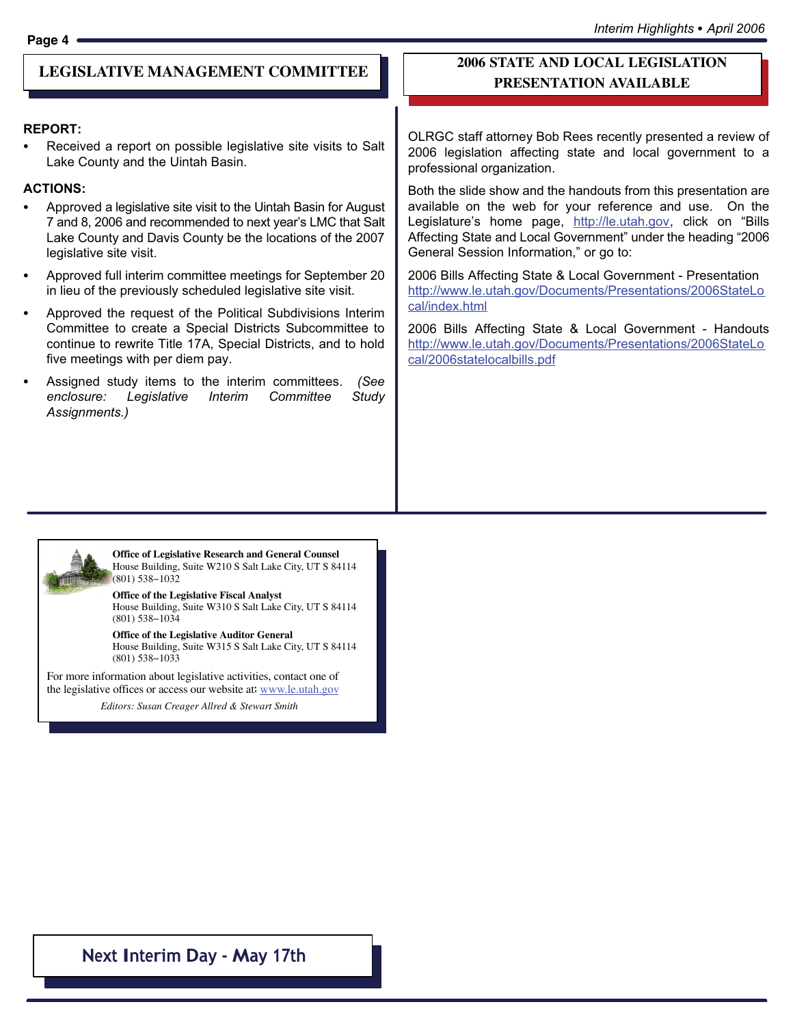#### **LEGISLATIVE MANAGEMENT COMMITTEE**

### REPORT:

 Received a report on possible legislative site visits to Salt Lake County and the Uintah Basin.

### ACTIONS: -

- Approved a legislative site visit to the Uintah Basin for August 7 and 8, 2006 and recommended to next year´s LMC that Salt Lake County and Davis County be the locations of the 2007 legislative site visit.
- Approved full interim committee meetings for September 20 in lieu of the previously scheduled legislative site visit.
- Approved the request of the Political Subdivisions Interim Committee to create a Special Districts Subcommittee to continue to rewrite Title 17A, Special Districts, and to hold five meetings with per diem pay.
- Assigned study items to the interim committees. (See enclosure: Legislative Interim Committee Study Assignments.)

#### **2006 STATE AND LOCAL LEGISLATION PRESENTATION AVAILABLE**

OLRGC staff attorney Bob Rees recently presented a review of 2006 legislation affecting state and local government to a professional organization.

Both the slide show and the handouts from this presentation are available on the web for your reference and use. On the Legislature's home page, <u>http://le.utah.gov</u>, click on "Bills Affecting State and Local Government" under the heading "2006 General Session Information," or go to:

2006 Bills Affecting State & Local Government − Presentation http://www.le.utah.gov/Documents/Presentations/2006StateLo cal/index.html

2006 Bills Affecting State & Local Government − Handouts http://www.le.utah.gov/Documents/Presentations/2006StateLo cal/2006statelocalbills.pdf



Office of Legislative Research and General Counsel **Office of Legislative Research and General Counsel**Office of Legislative Research and General Counsel<br>House Building, Suite W210 S Salt Lake City, UT S 84114 (801) 538−1032 (801) 538−1032

#### Office of the Legislative Fiscal Analyst **Office of the Legislative Fiscal Analyst**Ottice ot the Legislative Fiscal Analyst<br>House Building, Suite W310 S Salt Lake City, UT S 84114 (801) 538−1034 (801) 538−1034

Office of the Legislative Auditor General **Office of the Legislative Auditor General**Ottice ot the Legislative Auditor General<br>House Building, Suite W315 S Salt Lake City, UT S 84114 (801) 538−1033 (801) 538−1033

For more information about legislative activities, contact one of For more information about legislative activities, contact one of the legislative offices or access our website at: www.le.utah.gov

Editors: Susan Creager−Allred & Stewart Smith *Editors: Susan Creager Allred & Stewart Smith*

### Next Interim Day − May 17th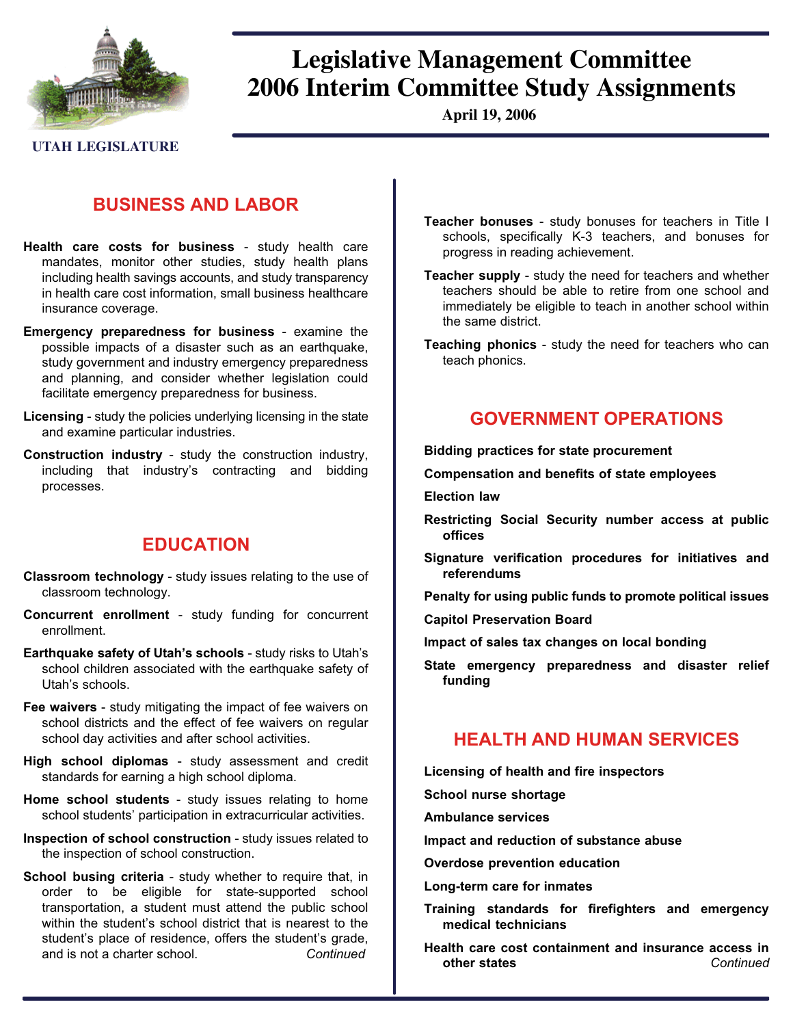

## **Legislative Management Committee 2006 Interim Committee Study Assignments**

**April 19, 2006**

**UTAH LEGISLATURE**

### BUSINESS AND LABOR

- Health care costs for business study health care mandates, monitor other studies, study health plans including health savings accounts, and study transparency in health care cost information, small business healthcare insurance coverage.
- Emergency preparedness for business examine the possible impacts of a disaster such as an earthquake, study government and industry emergency preparedness and planning, and consider whether legislation could facilitate emergency preparedness for business.
- Licensing − study the policies underlying licensing in the state and examine particular industries.
- Construction industry − study the construction industry, including that industry´s contracting and bidding processes.

### EDUCATION

- Classroom technology − study issues relating to the use of classroom technology.
- Concurrent enrollment − study funding for concurrent enrollment.
- Earthquake safety of Utah´s schools − study risks to Utah´s school children associated with the earthquake safety of Utah´s schools.
- Fee waivers − study mitigating the impact of fee waivers on school districts and the effect of fee waivers on regular school day activities and after school activities.
- High school diplomas study assessment and credit standards for earning a high school diploma.
- Home school students study issues relating to home school students' participation in extracurricular activities.
- Inspection of school construction − study issues related to the inspection of school construction.
- School busing criteria study whether to require that, in order to be eligible for state−supported school transportation, a student must attend the public school within the student's school district that is nearest to the student´s place of residence, offers the student´s grade, and is not a charter school. Continued
- Teacher bonuses − study bonuses for teachers in Title I schools, specifically K−3 teachers, and bonuses for progress in reading achievement.
- Teacher supply − study the need for teachers and whether teachers should be able to retire from one school and immediately be eligible to teach in another school within the same district.
- Teaching phonics − study the need for teachers who can teach phonics.

#### GOVERNMENT OPERATIONS

Bidding practices for state procurement

Compensation and benefits of state employees

Election law

- Restricting Social Security number access at public offices
- Signature verification procedures for initiatives and referendums

Penalty for using public funds to promote political issues

- Capitol Preservation Board
- Impact of sales tax changes on local bonding
- State emergency preparedness and disaster relief funding

### HEALTH AND HUMAN SERVICES

Licensing of health and fire inspectors

School nurse shortage

Ambulance services

Impact and reduction of substance abuse

- Overdose prevention education
- Long−term care for inmates
- Training standards for firefighters and emergency medical technicians
- Health care cost containment and insurance access in other states **Continued**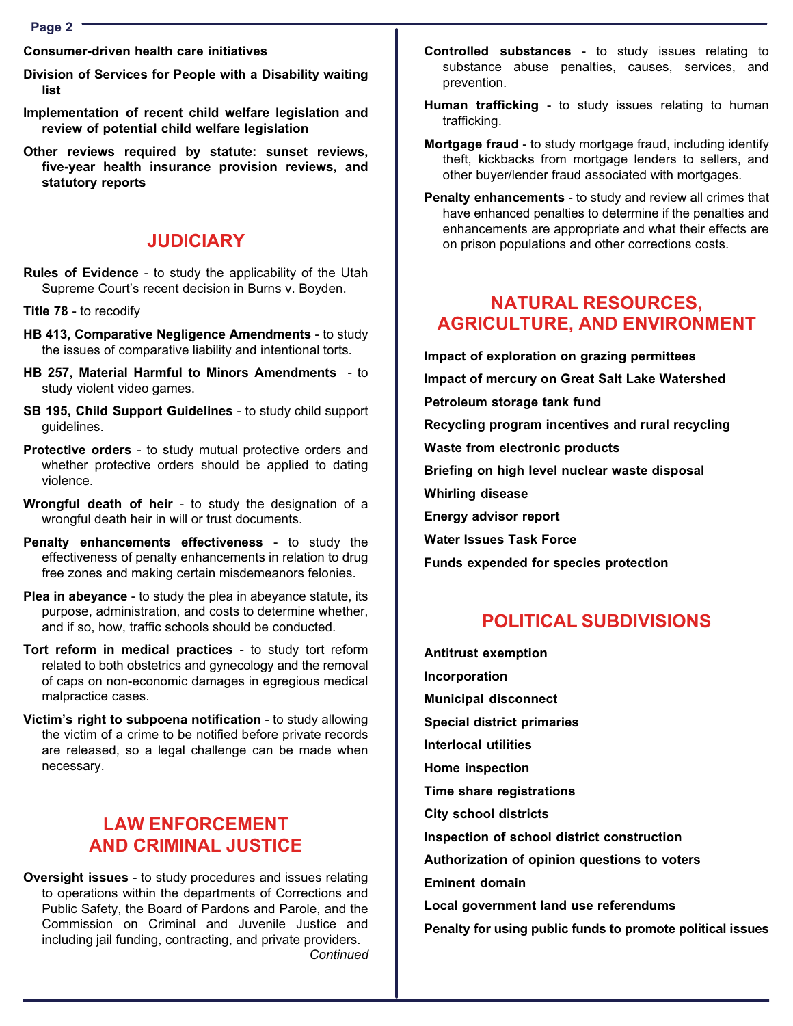Page 2

Consumer−driven health care initiatives

- Division of Services for People with a Disability waiting list
- Implementation of recent child welfare legislation and review of potential child welfare legislation

Other reviews required by statute: sunset reviews, five−year health insurance provision reviews, and statutory reports

#### JUDICIARY

- Rules of Evidence − to study the applicability of the Utah Supreme Court´s recent decision in Burns v. Boyden.
- Title 78 − to recodify
- HB 413, Comparative Negligence Amendments to study the issues of comparative liability and intentional torts.
- HB 257, Material Harmful to Minors Amendments to study violent video games.
- SB 195, Child Support Guidelines to study child support guidelines.
- Protective orders to study mutual protective orders and whether protective orders should be applied to dating violence.
- Wrongful death of heir to study the designation of a wrongful death heir in will or trust documents.
- Penalty enhancements effectiveness to study the effectiveness of penalty enhancements in relation to drug free zones and making certain misdemeanors felonies.
- Plea in abeyance to study the plea in abeyance statute, its purpose, administration, and costs to determine whether, and if so, how, traffic schools should be conducted.
- Tort reform in medical practices to study tort reform related to both obstetrics and gynecology and the removal of caps on non−economic damages in egregious medical malpractice cases.
- Victim´s right to subpoena notification − to study allowing the victim of a crime to be notified before private records are released, so a legal challenge can be made when necessary.

### LAW ENFORCEMENT AND CRIMINAL JUSTICE

Oversight issues − to study procedures and issues relating to operations within the departments of Corrections and Public Safety, the Board of Pardons and Parole, and the Commission on Criminal and Juvenile Justice and including jail funding, contracting, and private providers. **Continued** 

- Controlled substances − to study issues relating to substance abuse penalties, causes, services, and prevention.
- Human trafficking to study issues relating to human trafficking.
- Mortgage fraud − to study mortgage fraud, including identify theft, kickbacks from mortgage lenders to sellers, and other buyer/lender fraud associated with mortgages.
- Penalty enhancements to study and review all crimes that have enhanced penalties to determine if the penalties and enhancements are appropriate and what their effects are on prison populations and other corrections costs.

### NATURAL RESOURCES, AGRICULTURE, AND ENVIRONMENT

Impact of exploration on grazing permittees Impact of mercury on Great Salt Lake Watershed Petroleum storage tank fund Recycling program incentives and rural recycling Waste from electronic products Briefing on high level nuclear waste disposal Whirling disease Energy advisor report Water Issues Task Force Funds expended for species protection

### POLITICAL SUBDIVISIONS

Antitrust exemption Incorporation Municipal disconnect Special district primaries Interlocal utilities Home inspection Time share registrations City school districts Inspection of school district construction Authorization of opinion questions to voters Eminent domain Local government land use referendums Penalty for using public funds to promote political issues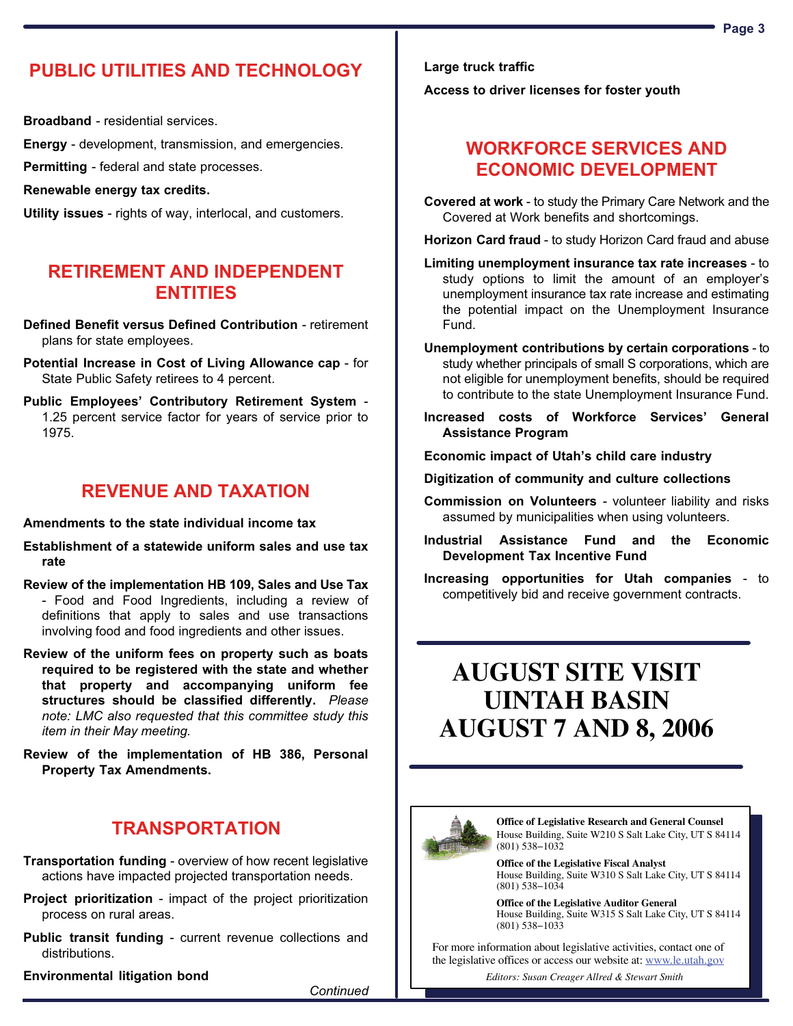### PUBLIC UTILITIES AND TECHNOLOGY

Broadband - residential services.

Energy − development, transmission, and emergencies.

Permitting - federal and state processes.

Renewable energy tax credits.

Utility issues - rights of way, interlocal, and customers.

### RETIREMENT AND INDEPENDENT ENTITIES

Defined Benefit versus Defined Contribution − retirement plans for state employees.

Potential Increase in Cost of Living Allowance cap − for State Public Safety retirees to 4 percent.

Public Employees' Contributory Retirement System -1.25 percent service factor for years of service prior to 1975.

### REVENUE AND TAXATION

Amendments to the state individual income tax

Establishment of a statewide uniform sales and use tax rate

Review of the implementation HB 109, Sales and Use Tax − Food and Food Ingredients, including a review of definitions that apply to sales and use transactions involving food and food ingredients and other issues.

Review of the uniform fees on property such as boats required to be registered with the state and whether that property and accompanying uniform fee structures should be classified differently. Please note: LMC also requested that this committee study this item in their May meeting.

Review of the implementation of HB 386, Personal Property Tax Amendments.

### **TRANSPORTATION**

Transportation funding − overview of how recent legislative actions have impacted projected transportation needs.

Project prioritization - impact of the project prioritization process on rural areas.

Public transit funding - current revenue collections and distributions.

Environmental litigation bond

**Continued** 

Access to driver licenses for foster youth

### WORKFORCE SERVICES AND ECONOMIC DEVELOPMENT

Covered at work − to study the Primary Care Network and the Covered at Work benefits and shortcomings.

Horizon Card fraud - to study Horizon Card fraud and abuse

- Limiting unemployment insurance tax rate increases − to study options to limit the amount of an employer´s unemployment insurance tax rate increase and estimating the potential impact on the Unemployment Insurance Fund.
- Unemployment contributions by certain corporations − to study whether principals of small S corporations, which are not eligible for unemployment benefits, should be required to contribute to the state Unemployment Insurance Fund.
- Increased costs of Workforce Services´ General Assistance Program

Economic impact of Utah´s child care industry

Digitization of community and culture collections

- Commission on Volunteers − volunteer liability and risks assumed by municipalities when using volunteers.
- Industrial Assistance Fund and the Economic Development Tax Incentive Fund
- Increasing opportunities for Utah companies − to competitively bid and receive government contracts.

### **AUGUST SITE VISIT UINTAH BASIN AUGUST 7 AND 8, 2006**



**Office of Legislative Research and General Counsel** House Building, Suite W210 S Salt Lake City, UT S 84114 (801) 538−1032

**Office of the Legislative Fiscal Analyst** House Building, Suite W310 S Salt Lake City, UT S 84114 (801) 538−1034

**Office of the Legislative Auditor General** House Building, Suite W315 S Salt Lake City, UT S 84114 (801) 538−1033

For more information about legislative activities, contact one of the legislative offices or access our website at: www.le.utah.gov

*Editors: Susan Creager Allred & Stewart Smith*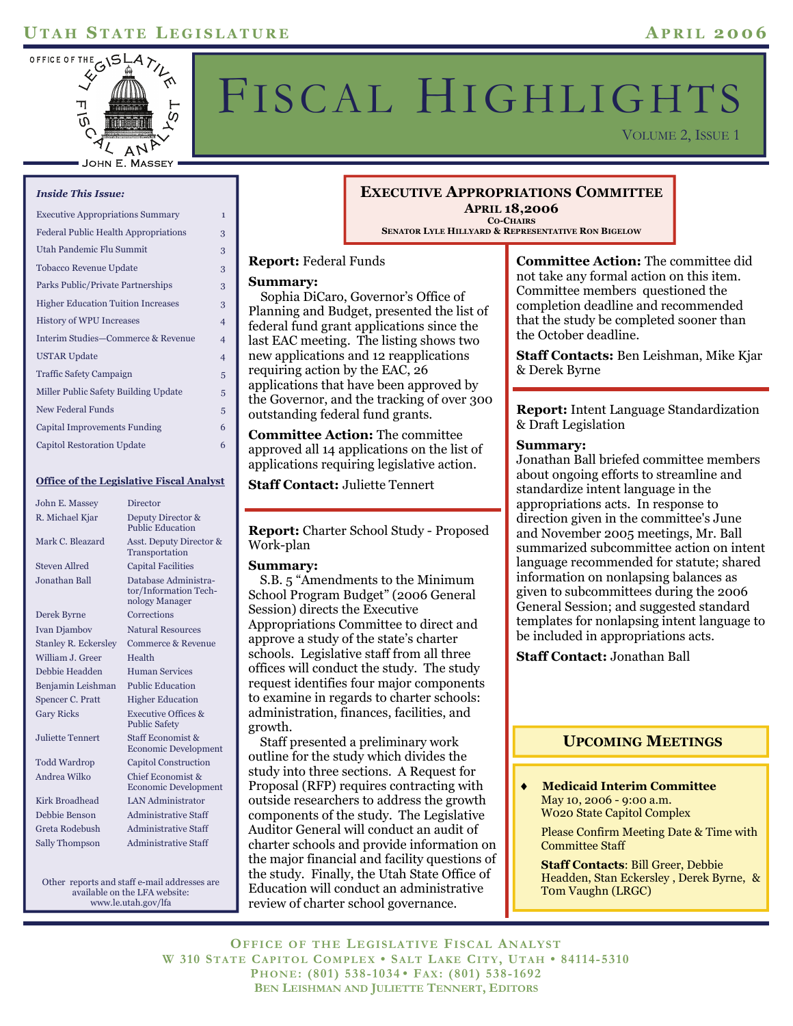### **U TAH S TATE L EGISLATURE A PRIL 2006**



# FISCAL HIGHLIGHTS

VOLUME 2, ISSUE 1

#### *Inside This Issue:*

| <b>Executive Appropriations Summary</b>     | $\mathbf{1}$   |
|---------------------------------------------|----------------|
| <b>Federal Public Health Appropriations</b> | 3              |
| Utah Pandemic Flu Summit                    | 3              |
| Tobacco Revenue Update                      | 3              |
| Parks Public/Private Partnerships           | 3              |
| <b>Higher Education Tuition Increases</b>   | 3              |
| <b>History of WPU Increases</b>             | $\overline{4}$ |
| Interim Studies-Commerce & Revenue          | 4              |
| <b>USTAR Update</b>                         | $\overline{4}$ |
| <b>Traffic Safety Campaign</b>              | 5              |
| Miller Public Safety Building Update        | 5              |
| <b>New Federal Funds</b>                    | 5              |
| Capital Improvements Funding                | 6              |
| Capitol Restoration Update                  | 6              |

#### **Office of the Legislative Fiscal Analyst**

| John E. Massey              | Director                                                        |  |  |
|-----------------------------|-----------------------------------------------------------------|--|--|
| R. Michael Kjar             | Deputy Director &<br><b>Public Education</b>                    |  |  |
| Mark C. Bleazard            | Asst. Deputy Director &<br>Transportation                       |  |  |
| <b>Steven Allred</b>        | <b>Capital Facilities</b>                                       |  |  |
| Jonathan Ball               | Database Administra-<br>tor/Information Tech-<br>nology Manager |  |  |
| Derek Byrne                 | Corrections                                                     |  |  |
| <b>Ivan Djambov</b>         | <b>Natural Resources</b>                                        |  |  |
| <b>Stanley R. Eckersley</b> | Commerce & Revenue                                              |  |  |
| William J. Greer            | Health                                                          |  |  |
| Debbie Headden              | <b>Human Services</b>                                           |  |  |
| Benjamin Leishman           | <b>Public Education</b>                                         |  |  |
| Spencer C. Pratt            | <b>Higher Education</b>                                         |  |  |
| <b>Gary Ricks</b>           | <b>Executive Offices &amp;</b><br><b>Public Safety</b>          |  |  |
| Juliette Tennert            | Staff Economist &<br><b>Economic Development</b>                |  |  |
| <b>Todd Wardrop</b>         | <b>Capitol Construction</b>                                     |  |  |
| Andrea Wilko                | Chief Economist &<br><b>Economic Development</b>                |  |  |
| Kirk Broadhead              | <b>LAN Administrator</b>                                        |  |  |
| Debbie Benson               | Administrative Staff                                            |  |  |
| Greta Rodebush              | <b>Administrative Staff</b>                                     |  |  |
| <b>Sally Thompson</b>       | Administrative Staff                                            |  |  |

Other reports and staff e-mail addresses are available on the LFA website: www.le.utah.gov/lfa

#### **EXECUTIVE APPROPRIATIONS COMMITTEE APRIL 18,2006 CO-CHAIRS**

**SENATOR LYLE HILLYARD & REPRESENTATIVE RON BIGELOW**

#### **Report:** Federal Funds

#### **Summary:**

 Sophia DiCaro, Governor's Office of Planning and Budget, presented the list of federal fund grant applications since the last EAC meeting. The listing shows two new applications and 12 reapplications requiring action by the EAC, 26 applications that have been approved by the Governor, and the tracking of over 300 outstanding federal fund grants.

**Committee Action:** The committee approved all 14 applications on the list of applications requiring legislative action.

**Staff Contact:** Juliette Tennert

**Report:** Charter School Study - Proposed Work-plan

#### **Summary:**

 S.B. 5 "Amendments to the Minimum School Program Budget" (2006 General Session) directs the Executive Appropriations Committee to direct and approve a study of the state's charter schools. Legislative staff from all three offices will conduct the study. The study request identifies four major components to examine in regards to charter schools: administration, finances, facilities, and growth.

 Staff presented a preliminary work outline for the study which divides the study into three sections. A Request for Proposal (RFP) requires contracting with outside researchers to address the growth components of the study. The Legislative Auditor General will conduct an audit of charter schools and provide information on the major financial and facility questions of the study. Finally, the Utah State Office of Education will conduct an administrative review of charter school governance.

**Committee Action:** The committee did not take any formal action on this item. Committee members questioned the completion deadline and recommended that the study be completed sooner than the October deadline.

**Staff Contacts:** Ben Leishman, Mike Kjar & Derek Byrne

**Report:** Intent Language Standardization & Draft Legislation

#### **Summary:**

Jonathan Ball briefed committee members about ongoing efforts to streamline and standardize intent language in the appropriations acts. In response to direction given in the committee's June and November 2005 meetings, Mr. Ball summarized subcommittee action on intent language recommended for statute; shared information on nonlapsing balances as given to subcommittees during the 2006 General Session; and suggested standard templates for nonlapsing intent language to be included in appropriations acts.

**Staff Contact:** Jonathan Ball

#### **UPCOMING MEETINGS**

♦ **Medicaid Interim Committee** May 10, 2006 - 9:00 a.m. W020 State Capitol Complex

 Please Confirm Meeting Date & Time with Committee Staff

**Staff Contacts**: Bill Greer, Debbie Headden, Stan Eckersley , Derek Byrne, & T0m Vaughn (LRGC)

**OFFICE OF THE LEGISLATIVE FISCAL ANALYST W 310 STATE CAPITOL COMPLEX • SALT LAKE CITY, UTAH • 84114-5310 PHONE: (801) 538-1034 • FAX: (801) 538-1692 BEN LEISHMAN AND JULIETTE TENNERT, EDITORS**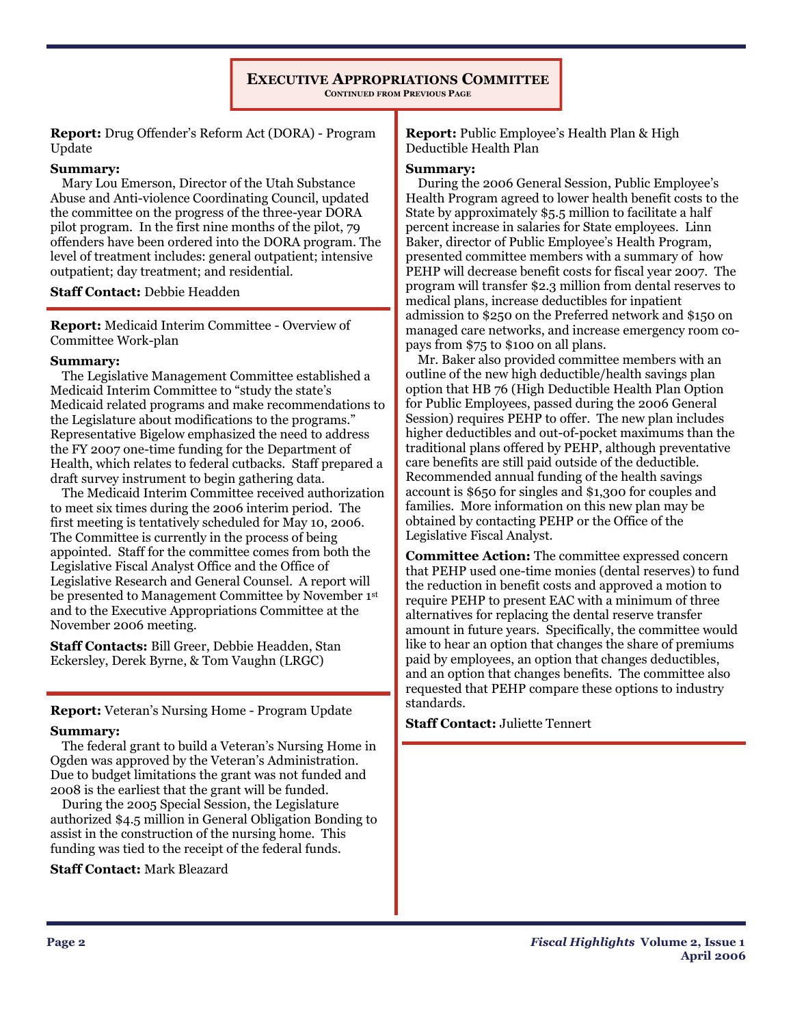#### **EXECUTIVE APPROPRIATIONS COMMITTEE CONTINUED FROM PREVIOUS PAGE**

**Report:** Drug Offender's Reform Act (DORA) - Program Update

#### **Summary:**

 Mary Lou Emerson, Director of the Utah Substance Abuse and Anti-violence Coordinating Council, updated the committee on the progress of the three-year DORA pilot program. In the first nine months of the pilot, 79 offenders have been ordered into the DORA program. The level of treatment includes: general outpatient; intensive outpatient; day treatment; and residential.

**Staff Contact:** Debbie Headden

**Report:** Medicaid Interim Committee - Overview of Committee Work-plan

#### **Summary:**

 The Legislative Management Committee established a Medicaid Interim Committee to "study the state's Medicaid related programs and make recommendations to the Legislature about modifications to the programs." Representative Bigelow emphasized the need to address the FY 2007 one-time funding for the Department of Health, which relates to federal cutbacks. Staff prepared a draft survey instrument to begin gathering data.

 The Medicaid Interim Committee received authorization to meet six times during the 2006 interim period. The first meeting is tentatively scheduled for May 10, 2006. The Committee is currently in the process of being appointed. Staff for the committee comes from both the Legislative Fiscal Analyst Office and the Office of Legislative Research and General Counsel. A report will be presented to Management Committee by November 1st and to the Executive Appropriations Committee at the November 2006 meeting.

**Staff Contacts:** Bill Greer, Debbie Headden, Stan Eckersley, Derek Byrne, & Tom Vaughn (LRGC)

**Report:** Veteran's Nursing Home - Program Update

#### **Summary:**

 The federal grant to build a Veteran's Nursing Home in Ogden was approved by the Veteran's Administration. Due to budget limitations the grant was not funded and 2008 is the earliest that the grant will be funded.

 During the 2005 Special Session, the Legislature authorized \$4.5 million in General Obligation Bonding to assist in the construction of the nursing home. This funding was tied to the receipt of the federal funds.

#### **Staff Contact:** Mark Bleazard

**Report:** Public Employee's Health Plan & High Deductible Health Plan

#### **Summary:**

 During the 2006 General Session, Public Employee's Health Program agreed to lower health benefit costs to the State by approximately \$5.5 million to facilitate a half percent increase in salaries for State employees. Linn Baker, director of Public Employee's Health Program, presented committee members with a summary of how PEHP will decrease benefit costs for fiscal year 2007. The program will transfer \$2.3 million from dental reserves to medical plans, increase deductibles for inpatient admission to \$250 on the Preferred network and \$150 on managed care networks, and increase emergency room copays from \$75 to \$100 on all plans.

 Mr. Baker also provided committee members with an outline of the new high deductible/health savings plan option that HB 76 (High Deductible Health Plan Option for Public Employees, passed during the 2006 General Session) requires PEHP to offer. The new plan includes higher deductibles and out-of-pocket maximums than the traditional plans offered by PEHP, although preventative care benefits are still paid outside of the deductible. Recommended annual funding of the health savings account is \$650 for singles and \$1,300 for couples and families. More information on this new plan may be obtained by contacting PEHP or the Office of the Legislative Fiscal Analyst.

**Committee Action:** The committee expressed concern that PEHP used one-time monies (dental reserves) to fund the reduction in benefit costs and approved a motion to require PEHP to present EAC with a minimum of three alternatives for replacing the dental reserve transfer amount in future years. Specifically, the committee would like to hear an option that changes the share of premiums paid by employees, an option that changes deductibles, and an option that changes benefits. The committee also requested that PEHP compare these options to industry standards.

**Staff Contact:** Juliette Tennert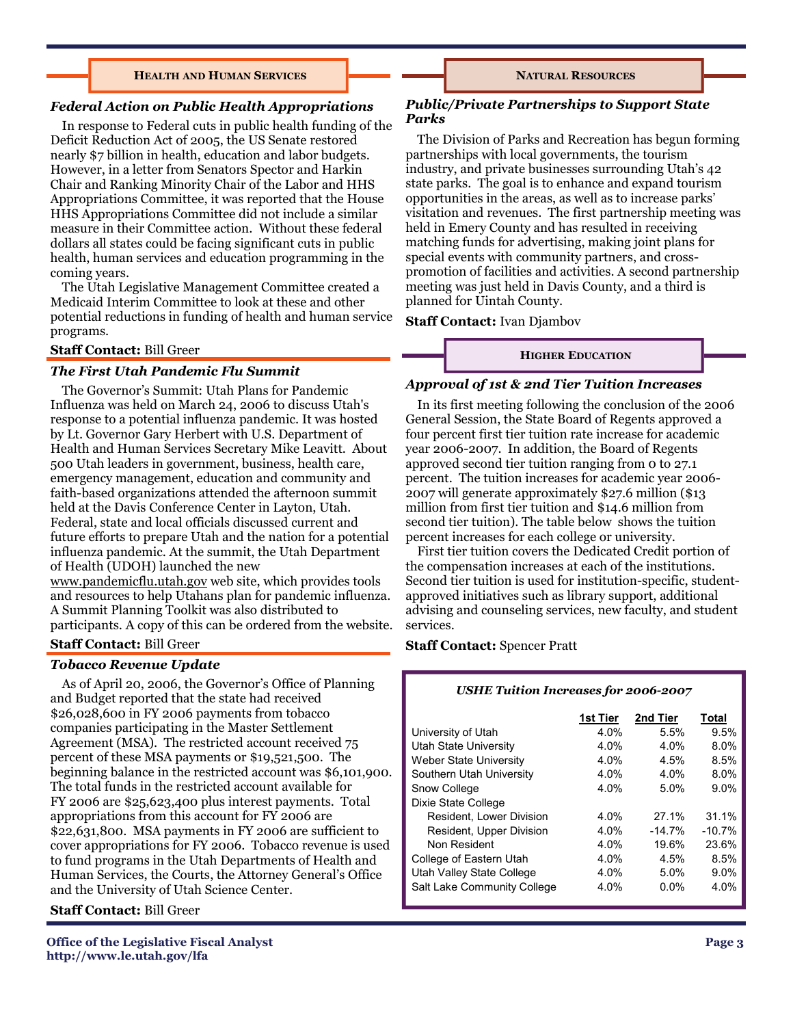#### **HEALTH AND HUMAN SERVICES**

#### *Federal Action on Public Health Appropriations*

 In response to Federal cuts in public health funding of the Deficit Reduction Act of 2005, the US Senate restored nearly \$7 billion in health, education and labor budgets. However, in a letter from Senators Spector and Harkin Chair and Ranking Minority Chair of the Labor and HHS Appropriations Committee, it was reported that the House HHS Appropriations Committee did not include a similar measure in their Committee action. Without these federal dollars all states could be facing significant cuts in public health, human services and education programming in the coming years.

 The Utah Legislative Management Committee created a Medicaid Interim Committee to look at these and other potential reductions in funding of health and human service programs.

#### **Staff Contact:** Bill Greer

#### *The First Utah Pandemic Flu Summit*

 The Governor's Summit: Utah Plans for Pandemic Influenza was held on March 24, 2006 to discuss Utah's response to a potential influenza pandemic. It was hosted by Lt. Governor Gary Herbert with U.S. Department of Health and Human Services Secretary Mike Leavitt. About 500 Utah leaders in government, business, health care, emergency management, education and community and faith-based organizations attended the afternoon summit held at the Davis Conference Center in Layton, Utah. Federal, state and local officials discussed current and future efforts to prepare Utah and the nation for a potential influenza pandemic. At the summit, the Utah Department of Health (UDOH) launched the new www.pandemicflu.utah.gov web site, which provides tools

and resources to help Utahans plan for pandemic influenza. A Summit Planning Toolkit was also distributed to participants. A copy of this can be ordered from the website.

#### **Staff Contact:** Bill Greer

#### *Tobacco Revenue Update*

 As of April 20, 2006, the Governor's Office of Planning and Budget reported that the state had received \$26,028,600 in FY 2006 payments from tobacco companies participating in the Master Settlement Agreement (MSA). The restricted account received 75 percent of these MSA payments or \$19,521,500. The beginning balance in the restricted account was \$6,101,900. The total funds in the restricted account available for FY 2006 are \$25,623,400 plus interest payments. Total appropriations from this account for FY 2006 are \$22,631,800. MSA payments in FY 2006 are sufficient to cover appropriations for FY 2006. Tobacco revenue is used to fund programs in the Utah Departments of Health and Human Services, the Courts, the Attorney General's Office and the University of Utah Science Center.

#### **Staff Contact:** Bill Greer

#### **NATURAL RESOURCES**

#### *Public/Private Partnerships to Support State Parks*

The Division of Parks and Recreation has begun forming partnerships with local governments, the tourism industry, and private businesses surrounding Utah's 42 state parks. The goal is to enhance and expand tourism opportunities in the areas, as well as to increase parks' visitation and revenues. The first partnership meeting was held in Emery County and has resulted in receiving matching funds for advertising, making joint plans for special events with community partners, and crosspromotion of facilities and activities. A second partnership meeting was just held in Davis County, and a third is planned for Uintah County.

#### **Staff Contact:** Ivan Djambov

#### **HIGHER EDUCATION**

#### *Approval of 1st & 2nd Tier Tuition Increases*

In its first meeting following the conclusion of the 2006 General Session, the State Board of Regents approved a four percent first tier tuition rate increase for academic year 2006-2007. In addition, the Board of Regents approved second tier tuition ranging from 0 to 27.1 percent. The tuition increases for academic year 2006- 2007 will generate approximately \$27.6 million (\$13 million from first tier tuition and \$14.6 million from second tier tuition). The table below shows the tuition percent increases for each college or university.

 First tier tuition covers the Dedicated Credit portion of the compensation increases at each of the institutions. Second tier tuition is used for institution-specific, studentapproved initiatives such as library support, additional advising and counseling services, new faculty, and student services.

#### **Staff Contact:** Spencer Pratt

#### *USHE Tuition Increases for 2006-2007*

|                               | 1st Tier | 2nd Tier  | Total     |
|-------------------------------|----------|-----------|-----------|
| University of Utah            | 4.0%     | 5.5%      | 9.5%      |
| <b>Utah State University</b>  | 4.0%     | 4.0%      | 8.0%      |
| <b>Weber State University</b> | 4.0%     | 4.5%      | 8.5%      |
| Southern Utah University      | $4.0\%$  | 4.0%      | 8.0%      |
| Snow College                  | 4.0%     | 5.0%      | $9.0\%$   |
| Dixie State College           |          |           |           |
| Resident, Lower Division      | $4.0\%$  | 27.1%     | 31.1%     |
| Resident, Upper Division      | $4.0\%$  | $-14.7\%$ | $-10.7\%$ |
| Non Resident                  | 4.0%     | 19.6%     | 23.6%     |
| College of Eastern Utah       | 4.0%     | 4.5%      | 8.5%      |
| Utah Valley State College     | $4.0\%$  | $5.0\%$   | $9.0\%$   |
| Salt Lake Community College   | $4.0\%$  | $0.0\%$   | 4.0%      |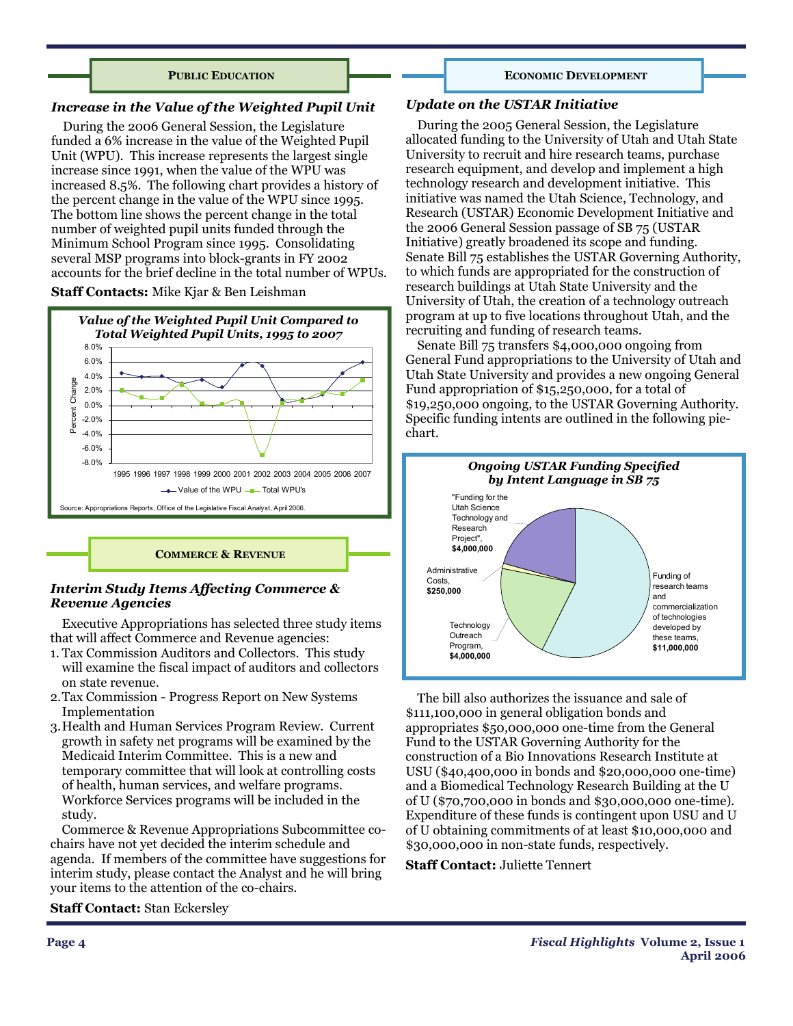#### **PUBLIC EDUCATION**

#### *Increase in the Value of the Weighted Pupil Unit*

During the 2006 General Session, the Legislature funded a 6% increase in the value of the Weighted Pupil Unit (WPU). This increase represents the largest single increase since 1991, when the value of the WPU was increased 8.5%. The following chart provides a history of the percent change in the value of the WPU since 1995. The bottom line shows the percent change in the total number of weighted pupil units funded through the Minimum School Program since 1995. Consolidating several MSP programs into block-grants in FY 2002 accounts for the brief decline in the total number of WPUs.

#### **Staff Contacts:** Mike Kjar & Ben Leishman



**COMMERCE & REVENUE**

#### *Interim Study Items Affecting Commerce & Revenue Agencies*

 Executive Appropriations has selected three study items that will affect Commerce and Revenue agencies:

- 1. Tax Commission Auditors and Collectors. This study will examine the fiscal impact of auditors and collectors on state revenue.
- 2. Tax Commission Progress Report on New Systems Implementation
- 3. Health and Human Services Program Review. Current growth in safety net programs will be examined by the Medicaid Interim Committee. This is a new and temporary committee that will look at controlling costs of health, human services, and welfare programs. Workforce Services programs will be included in the study.

 Commerce & Revenue Appropriations Subcommittee cochairs have not yet decided the interim schedule and agenda. If members of the committee have suggestions for interim study, please contact the Analyst and he will bring your items to the attention of the co-chairs.

#### **Staff Contact:** Stan Eckersley

#### *Update on the USTAR Initiative*

During the 2005 General Session, the Legislature allocated funding to the University of Utah and Utah State University to recruit and hire research teams, purchase research equipment, and develop and implement a high technology research and development initiative. This initiative was named the Utah Science, Technology, and Research (USTAR) Economic Development Initiative and the 2006 General Session passage of SB 75 (USTAR Initiative) greatly broadened its scope and funding. Senate Bill 75 establishes the USTAR Governing Authority, to which funds are appropriated for the construction of research buildings at Utah State University and the University of Utah, the creation of a technology outreach program at up to five locations throughout Utah, and the recruiting and funding of research teams.

**ECONOMIC DEVELOPMENT**

 Senate Bill 75 transfers \$4,000,000 ongoing from General Fund appropriations to the University of Utah and Utah State University and provides a new ongoing General Fund appropriation of \$15,250,000, for a total of \$19,250,000 ongoing, to the USTAR Governing Authority. Specific funding intents are outlined in the following piechart.



 The bill also authorizes the issuance and sale of \$111,100,000 in general obligation bonds and appropriates \$50,000,000 one-time from the General Fund to the USTAR Governing Authority for the construction of a Bio Innovations Research Institute at USU (\$40,400,000 in bonds and \$20,000,000 one-time) and a Biomedical Technology Research Building at the U of U (\$70,700,000 in bonds and \$30,000,000 one-time). Expenditure of these funds is contingent upon USU and U of U obtaining commitments of at least \$10,000,000 and \$30,000,000 in non-state funds, respectively.

**Staff Contact:** Juliette Tennert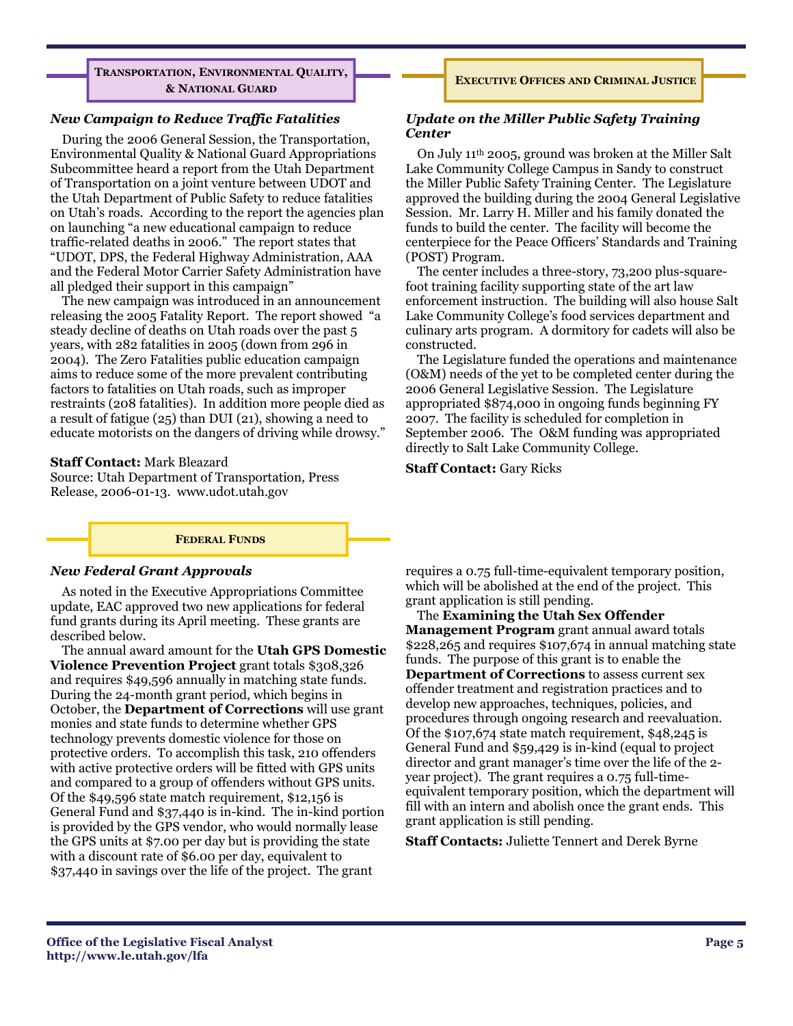**TRANSPORTATION, ENVIRONMENTAL QUALITY, & NATIONAL GUARD**

#### *New Campaign to Reduce Traffic Fatalities*

 During the 2006 General Session, the Transportation, Environmental Quality & National Guard Appropriations Subcommittee heard a report from the Utah Department of Transportation on a joint venture between UDOT and the Utah Department of Public Safety to reduce fatalities on Utah's roads. According to the report the agencies plan on launching "a new educational campaign to reduce traffic-related deaths in 2006." The report states that "UDOT, DPS, the Federal Highway Administration, AAA and the Federal Motor Carrier Safety Administration have all pledged their support in this campaign"

 The new campaign was introduced in an announcement releasing the 2005 Fatality Report. The report showed "a steady decline of deaths on Utah roads over the past 5 years, with 282 fatalities in 2005 (down from 296 in 2004). The Zero Fatalities public education campaign aims to reduce some of the more prevalent contributing factors to fatalities on Utah roads, such as improper restraints (208 fatalities). In addition more people died as a result of fatigue (25) than DUI (21), showing a need to educate motorists on the dangers of driving while drowsy."

#### **Staff Contact:** Mark Bleazard

Source: Utah Department of Transportation, Press Release, 2006-01-13. www.udot.utah.gov

#### *Update on the Miller Public Safety Training Center*

 On July 11th 2005, ground was broken at the Miller Salt Lake Community College Campus in Sandy to construct the Miller Public Safety Training Center. The Legislature approved the building during the 2004 General Legislative Session. Mr. Larry H. Miller and his family donated the funds to build the center. The facility will become the centerpiece for the Peace Officers' Standards and Training (POST) Program.

**EXECUTIVE OFFICES AND CRIMINAL JUSTICE**

 The center includes a three-story, 73,200 plus-squarefoot training facility supporting state of the art law enforcement instruction. The building will also house Salt Lake Community College's food services department and culinary arts program. A dormitory for cadets will also be constructed.

 The Legislature funded the operations and maintenance (O&M) needs of the yet to be completed center during the 2006 General Legislative Session. The Legislature appropriated \$874,000 in ongoing funds beginning FY 2007. The facility is scheduled for completion in September 2006. The O&M funding was appropriated directly to Salt Lake Community College.

**Staff Contact:** Gary Ricks



#### *New Federal Grant Approvals*

 As noted in the Executive Appropriations Committee update, EAC approved two new applications for federal fund grants during its April meeting. These grants are described below.

 The annual award amount for the **Utah GPS Domestic Violence Prevention Project** grant totals \$308,326 and requires \$49,596 annually in matching state funds. During the 24-month grant period, which begins in October, the **Department of Corrections** will use grant monies and state funds to determine whether GPS technology prevents domestic violence for those on protective orders. To accomplish this task, 210 offenders with active protective orders will be fitted with GPS units and compared to a group of offenders without GPS units. Of the \$49,596 state match requirement, \$12,156 is General Fund and \$37,440 is in-kind. The in-kind portion is provided by the GPS vendor, who would normally lease the GPS units at \$7.00 per day but is providing the state with a discount rate of \$6.00 per day, equivalent to \$37,440 in savings over the life of the project. The grant

requires a 0.75 full-time-equivalent temporary position, which will be abolished at the end of the project. This grant application is still pending.

 The **Examining the Utah Sex Offender Management Program** grant annual award totals \$228,265 and requires \$107,674 in annual matching state funds. The purpose of this grant is to enable the **Department of Corrections** to assess current sex offender treatment and registration practices and to develop new approaches, techniques, policies, and procedures through ongoing research and reevaluation. Of the \$107,674 state match requirement, \$48,245 is General Fund and \$59,429 is in-kind (equal to project director and grant manager's time over the life of the 2 year project). The grant requires a 0.75 full-timeequivalent temporary position, which the department will fill with an intern and abolish once the grant ends. This grant application is still pending.

**Staff Contacts:** Juliette Tennert and Derek Byrne